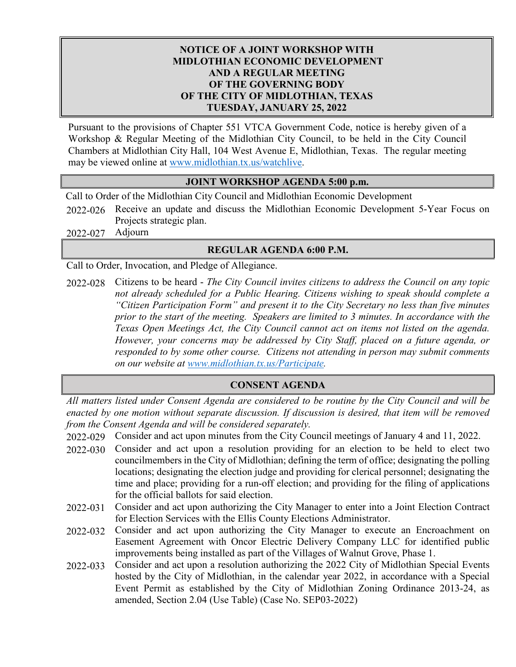## **NOTICE OF A JOINT WORKSHOP WITH MIDLOTHIAN ECONOMIC DEVELOPMENT AND A REGULAR MEETING OF THE GOVERNING BODY OF THE CITY OF MIDLOTHIAN, TEXAS TUESDAY, JANUARY 25, 2022**

Pursuant to the provisions of Chapter 551 VTCA Government Code, notice is hereby given of a Workshop & Regular Meeting of the Midlothian City Council, to be held in the City Council Chambers at Midlothian City Hall, 104 West Avenue E, Midlothian, Texas. The regular meeting may be viewed online at [www.midlothian.tx.us/watchlive.](http://www.midlothian.tx.us/watchlive)

## **JOINT WORKSHOP AGENDA 5:00 p.m.**

Call to Order of the Midlothian City Council and Midlothian Economic Development

- 2022-026 Receive an update and discuss the Midlothian Economic Development 5-Year Focus on Projects strategic plan.
- 2022-027 Adjourn

## **REGULAR AGENDA 6:00 P.M.**

Call to Order, Invocation, and Pledge of Allegiance.

2022-028 Citizens to be heard - *The City Council invites citizens to address the Council on any topic not already scheduled for a Public Hearing. Citizens wishing to speak should complete a "Citizen Participation Form" and present it to the City Secretary no less than five minutes prior to the start of the meeting. Speakers are limited to 3 minutes. In accordance with the Texas Open Meetings Act, the City Council cannot act on items not listed on the agenda. However, your concerns may be addressed by City Staff, placed on a future agenda, or responded to by some other course. Citizens not attending in person may submit comments on our website at [www.midlothian.tx.us/Participate.](http://www.midlothian.tx.us/Participate)*

## **CONSENT AGENDA**

*All matters listed under Consent Agenda are considered to be routine by the City Council and will be enacted by one motion without separate discussion. If discussion is desired, that item will be removed from the Consent Agenda and will be considered separately.*

- 2022-029 Consider and act upon minutes from the City Council meetings of January 4 and 11, 2022.
- 2022-030 Consider and act upon a resolution providing for an election to be held to elect two councilmembers in the City of Midlothian; defining the term of office; designating the polling locations; designating the election judge and providing for clerical personnel; designating the time and place; providing for a run-off election; and providing for the filing of applications for the official ballots for said election.
- 2022-031 Consider and act upon authorizing the City Manager to enter into a Joint Election Contract for Election Services with the Ellis County Elections Administrator.
- 2022-032 Consider and act upon authorizing the City Manager to execute an Encroachment on Easement Agreement with Oncor Electric Delivery Company LLC for identified public improvements being installed as part of the Villages of Walnut Grove, Phase 1.
- 2022-033 Consider and act upon a resolution authorizing the 2022 City of Midlothian Special Events hosted by the City of Midlothian, in the calendar year 2022, in accordance with a Special Event Permit as established by the City of Midlothian Zoning Ordinance 2013-24, as amended, Section 2.04 (Use Table) (Case No. SEP03-2022)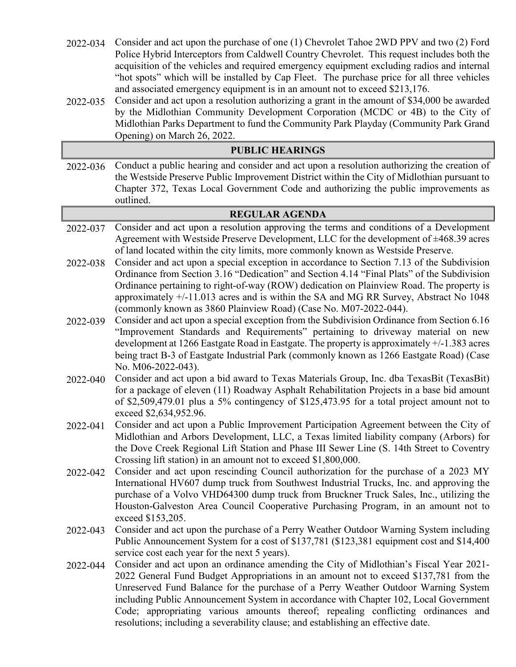- 2022-034 Consider and act upon the purchase of one (1) Chevrolet Tahoe 2WD PPV and two (2) Ford Police Hybrid Interceptors from Caldwell Country Chevrolet. This request includes both the acquisition of the vehicles and required emergency equipment excluding radios and internal "hot spots" which will be installed by Cap Fleet. The purchase price for all three vehicles and associated emergency equipment is in an amount not to exceed \$213,176.
- 2022-035 Consider and act upon a resolution authorizing a grant in the amount of \$34,000 be awarded by the Midlothian Community Development Corporation (MCDC or 4B) to the City of Midlothian Parks Department to fund the Community Park Playday (Community Park Grand Opening) on March 26, 2022.

| <b>PUBLIC HEARINGS</b> |                                                                                                                                                                                 |  |  |
|------------------------|---------------------------------------------------------------------------------------------------------------------------------------------------------------------------------|--|--|
| 2022-036               | Conduct a public hearing and consider and act upon a resolution authorizing the creation of                                                                                     |  |  |
|                        | the Westside Preserve Public Improvement District within the City of Midlothian pursuant to                                                                                     |  |  |
|                        | Chapter 372, Texas Local Government Code and authorizing the public improvements as                                                                                             |  |  |
|                        | outlined.                                                                                                                                                                       |  |  |
| <b>REGULAR AGENDA</b>  |                                                                                                                                                                                 |  |  |
| 2022-037               | Consider and act upon a resolution approving the terms and conditions of a Development                                                                                          |  |  |
|                        | Agreement with Westside Preserve Development, LLC for the development of ±468.39 acres                                                                                          |  |  |
|                        | of land located within the city limits, more commonly known as Westside Preserve.                                                                                               |  |  |
| 2022-038               | Consider and act upon a special exception in accordance to Section 7.13 of the Subdivision                                                                                      |  |  |
|                        | Ordinance from Section 3.16 "Dedication" and Section 4.14 "Final Plats" of the Subdivision                                                                                      |  |  |
|                        | Ordinance pertaining to right-of-way (ROW) dedication on Plainview Road. The property is                                                                                        |  |  |
|                        | approximately $+/-11.013$ acres and is within the SA and MG RR Survey, Abstract No 1048<br>(commonly known as 3860 Plainview Road) (Case No. M07-2022-044).                     |  |  |
| 2022-039               | Consider and act upon a special exception from the Subdivision Ordinance from Section 6.16                                                                                      |  |  |
|                        | "Improvement Standards and Requirements" pertaining to driveway material on new                                                                                                 |  |  |
|                        | development at 1266 Eastgate Road in Eastgate. The property is approximately +/-1.383 acres                                                                                     |  |  |
|                        | being tract B-3 of Eastgate Industrial Park (commonly known as 1266 Eastgate Road) (Case                                                                                        |  |  |
|                        | No. M06-2022-043).                                                                                                                                                              |  |  |
| 2022-040               | Consider and act upon a bid award to Texas Materials Group, Inc. dba TexasBit (TexasBit)                                                                                        |  |  |
|                        | for a package of eleven (11) Roadway Asphalt Rehabilitation Projects in a base bid amount                                                                                       |  |  |
|                        | of \$2,509,479.01 plus a 5% contingency of \$125,473.95 for a total project amount not to                                                                                       |  |  |
|                        | exceed \$2,634,952.96.                                                                                                                                                          |  |  |
| 2022-041               | Consider and act upon a Public Improvement Participation Agreement between the City of                                                                                          |  |  |
|                        | Midlothian and Arbors Development, LLC, a Texas limited liability company (Arbors) for                                                                                          |  |  |
|                        | the Dove Creek Regional Lift Station and Phase III Sewer Line (S. 14th Street to Coventry                                                                                       |  |  |
|                        | Crossing lift station) in an amount not to exceed \$1,800,000.                                                                                                                  |  |  |
| 2022-042               | Consider and act upon rescinding Council authorization for the purchase of a 2023 MY<br>International HV607 dump truck from Southwest Industrial Trucks, Inc. and approving the |  |  |
|                        | purchase of a Volvo VHD64300 dump truck from Bruckner Truck Sales, Inc., utilizing the                                                                                          |  |  |
|                        | Houston-Galveston Area Council Cooperative Purchasing Program, in an amount not to                                                                                              |  |  |
|                        | exceed \$153,205.                                                                                                                                                               |  |  |
| 2022-043               | Consider and act upon the purchase of a Perry Weather Outdoor Warning System including                                                                                          |  |  |
|                        | Public Announcement System for a cost of \$137,781 (\$123,381 equipment cost and \$14,400                                                                                       |  |  |
|                        | service cost each year for the next 5 years).                                                                                                                                   |  |  |
| 2022-044               | Consider and act upon an ordinance amending the City of Midlothian's Fiscal Year 2021-                                                                                          |  |  |
|                        | 2022 General Fund Budget Appropriations in an amount not to exceed \$137,781 from the                                                                                           |  |  |
|                        | Unreserved Fund Balance for the purchase of a Perry Weather Outdoor Warning System                                                                                              |  |  |
|                        | including Public Announcement System in accordance with Chapter 102, Local Government                                                                                           |  |  |
|                        | Code; appropriating various amounts thereof; repealing conflicting ordinances and                                                                                               |  |  |
|                        | resolutions; including a severability clause; and establishing an effective date.                                                                                               |  |  |